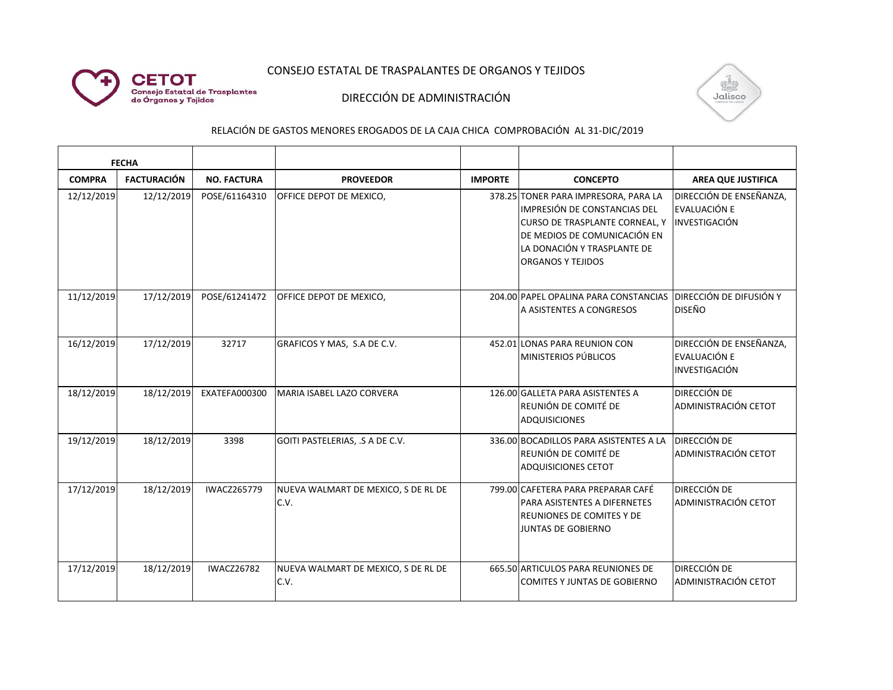

## CONSEJO ESTATAL DE TRASPALANTES DE ORGANOS Y TEJIDOS

## DIRECCIÓN DE ADMINISTRACIÓN



RELACIÓN DE GASTOS MENORES EROGADOS DE LA CAJA CHICA COMPROBACIÓN AL 31-DIC/2019

| <b>FECHA</b>  |                    |                    |                                             |                |                                                                                                                                                                                                          |                                                          |
|---------------|--------------------|--------------------|---------------------------------------------|----------------|----------------------------------------------------------------------------------------------------------------------------------------------------------------------------------------------------------|----------------------------------------------------------|
| <b>COMPRA</b> | <b>FACTURACIÓN</b> | <b>NO. FACTURA</b> | <b>PROVEEDOR</b>                            | <b>IMPORTE</b> | <b>CONCEPTO</b>                                                                                                                                                                                          | <b>AREA QUE JUSTIFICA</b>                                |
| 12/12/2019    | 12/12/2019         | POSE/61164310      | OFFICE DEPOT DE MEXICO,                     |                | 378.25 TONER PARA IMPRESORA, PARA LA<br>IMPRESIÓN DE CONSTANCIAS DEL<br><b>CURSO DE TRASPLANTE CORNEAL, Y</b><br>DE MEDIOS DE COMUNICACIÓN EN<br>LA DONACIÓN Y TRASPLANTE DE<br><b>ORGANOS Y TEJIDOS</b> | DIRECCIÓN DE ENSEÑANZA,<br>EVALUACIÓN E<br>INVESTIGACIÓN |
| 11/12/2019    | 17/12/2019         | POSE/61241472      | OFFICE DEPOT DE MEXICO,                     |                | 204.00 PAPEL OPALINA PARA CONSTANCIAS   DIRECCIÓN DE DIFUSIÓN Y<br>A ASISTENTES A CONGRESOS                                                                                                              | <b>DISEÑO</b>                                            |
| 16/12/2019    | 17/12/2019         | 32717              | GRAFICOS Y MAS, S.A DE C.V.                 |                | 452.01 LONAS PARA REUNION CON<br><b>MINISTERIOS PÚBLICOS</b>                                                                                                                                             | DIRECCIÓN DE ENSEÑANZA,<br>EVALUACIÓN E<br>INVESTIGACIÓN |
| 18/12/2019    | 18/12/2019         | EXATEFA000300      | MARIA ISABEL LAZO CORVERA                   |                | 126.00 GALLETA PARA ASISTENTES A<br>REUNIÓN DE COMITÉ DE<br>ADQUISICIONES                                                                                                                                | <b>DIRECCIÓN DE</b><br>ADMINISTRACIÓN CETOT              |
| 19/12/2019    | 18/12/2019         | 3398               | GOITI PASTELERIAS, .S A DE C.V.             |                | 336.00 BOCADILLOS PARA ASISTENTES A LA<br>REUNIÓN DE COMITÉ DE<br><b>ADQUISICIONES CETOT</b>                                                                                                             | DIRECCIÓN DE<br><b>ADMINISTRACIÓN CETOT</b>              |
| 17/12/2019    | 18/12/2019         | <b>IWACZ265779</b> | NUEVA WALMART DE MEXICO, S DE RL DE<br>C.V. |                | 799.00 CAFETERA PARA PREPARAR CAFÉ<br><b>PARA ASISTENTES A DIFERNETES</b><br>REUNIONES DE COMITES Y DE<br><b>JUNTAS DE GOBIERNO</b>                                                                      | <b>DIRECCIÓN DE</b><br><b>ADMINISTRACIÓN CETOT</b>       |
| 17/12/2019    | 18/12/2019         | <b>IWACZ26782</b>  | NUEVA WALMART DE MEXICO, S DE RL DE<br>C.V. |                | 665.50 ARTICULOS PARA REUNIONES DE<br><b>COMITES Y JUNTAS DE GOBIERNO</b>                                                                                                                                | <b>DIRECCIÓN DE</b><br>ADMINISTRACIÓN CETOT              |